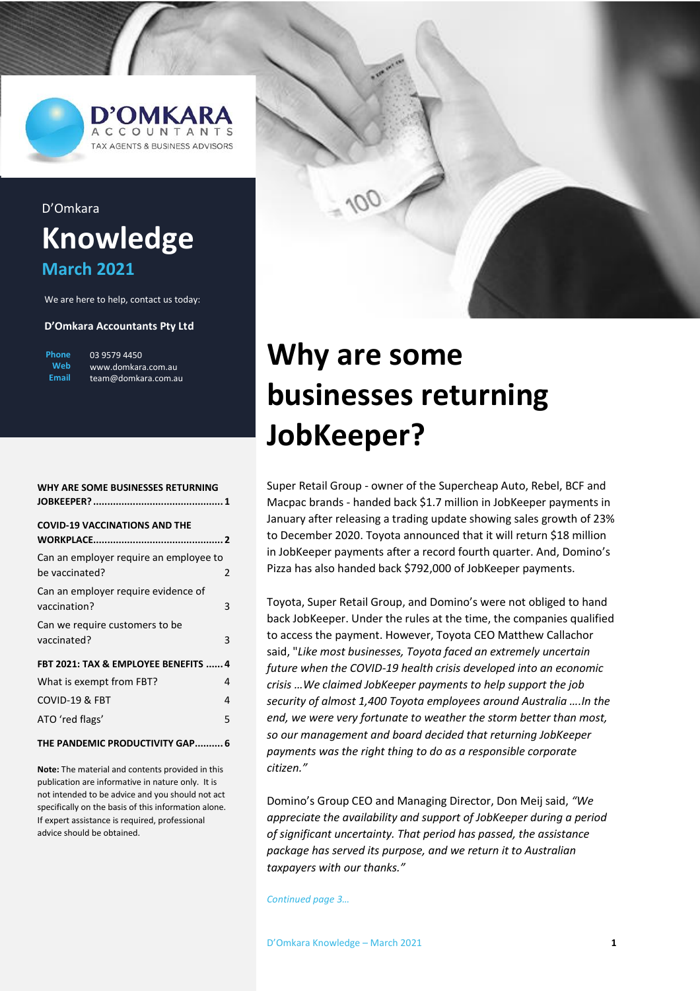

# D'Omkara **Knowledge March 2021**

We are here to help, contact us today:

#### **D'Omkara Accountants Pty Ltd**

| Phone | 03 9579 4 |
|-------|-----------|
| Web   | www.dom   |
| Email | iteam@doi |

450 kara.com.au nkara com au

| WHY ARE SOME BUSINESSES RETURNING                             |  |  |
|---------------------------------------------------------------|--|--|
| <b>COVID-19 VACCINATIONS AND THE</b>                          |  |  |
| Can an employer require an employee to<br>be vaccinated?<br>2 |  |  |
| Can an employer require evidence of<br>vaccination?<br>3      |  |  |
| Can we require customers to be<br>vaccinated?<br>3            |  |  |
| FBT 2021: TAX & EMPLOYEE BENEFITS  4                          |  |  |
| What is exempt from FBT?<br>4                                 |  |  |
| COVID-19 & FBT<br>4                                           |  |  |
| ATO 'red flags'<br>5                                          |  |  |
| THE PANDEMIC PRODUCTIVITY GAP 6                               |  |  |

**Note:** The material and contents provided in this publication are informative in nature only. It is not intended to be advice and you should not act specifically on the basis of this information alone. If expert assistance is required, professional advice should be obtained.



# <span id="page-0-0"></span>**Why are some businesses returning JobKeeper?**

Super Retail Group - owner of the Supercheap Auto, Rebel, BCF and Macpac brands - handed back \$1.7 million in JobKeeper payments in January after releasing a trading update showing sales growth of 23% to December 2020. Toyota announced that it will return \$18 million in JobKeeper payments after a record fourth quarter. And, Domino's Pizza has also handed back \$792,000 of JobKeeper payments.

Toyota, Super Retail Group, and Domino's were not obliged to hand back JobKeeper. Under the rules at the time, the companies qualified to access the payment. However, Toyota CEO Matthew Callachor said, "*Like most businesses, Toyota faced an extremely uncertain future when the COVID-19 health crisis developed into an economic crisis …We claimed JobKeeper payments to help support the job security of almost 1,400 Toyota employees around Australia ….In the end, we were very fortunate to weather the storm better than most, so our management and board decided that returning JobKeeper payments was the right thing to do as a responsible corporate citizen."*

Domino's Group CEO and Managing Director, Don Meij said, *"We appreciate the availability and support of JobKeeper during a period of significant uncertainty. That period has passed, the assistance package has served its purpose, and we return it to Australian taxpayers with our thanks."*

*Continued page 3…*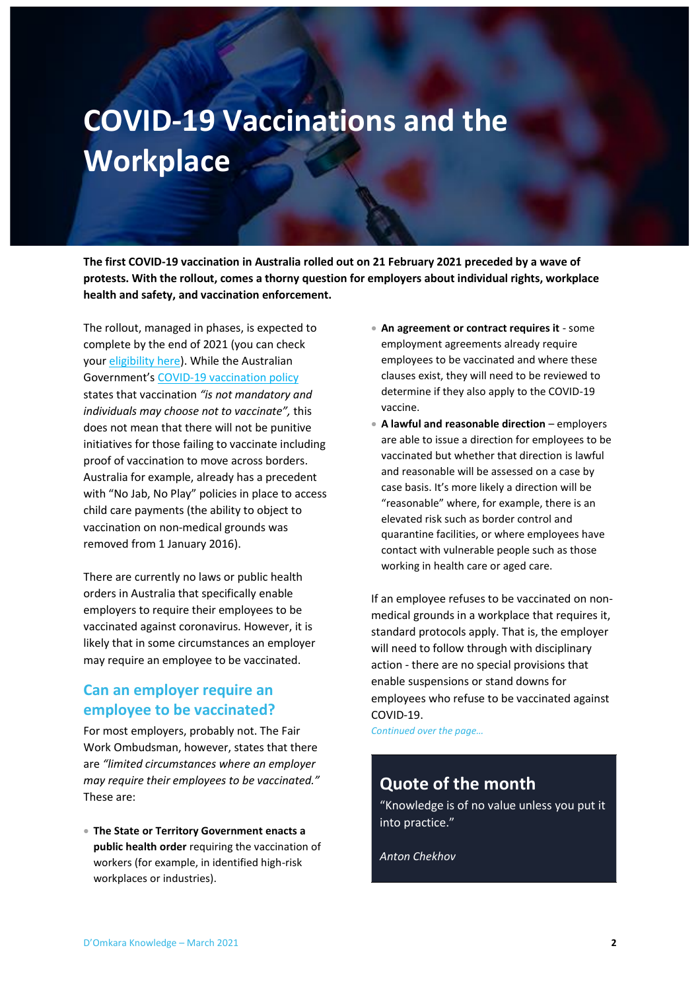# <span id="page-1-0"></span>**COVID-19 Vaccinations and the Workplace**

**The first COVID-19 vaccination in Australia rolled out on 21 February 2021 preceded by a wave of protests. With the rollout, comes a thorny question for employers about individual rights, workplace health and safety, and vaccination enforcement.**

The rollout, managed in phases, is expected to complete by the end of 2021 (you can check you[r eligibility here\)](https://covid-vaccine.healthdirect.gov.au/eligibility). While the Australian Government's [COVID-19 vaccination policy](https://www.health.gov.au/sites/default/files/documents/2020/11/australian-covid-19-vaccination-policy.pdf) states that vaccination *"is not mandatory and individuals may choose not to vaccinate",* this does not mean that there will not be punitive initiatives for those failing to vaccinate including proof of vaccination to move across borders. Australia for example, already has a precedent with "No Jab, No Play" policies in place to access child care payments (the ability to object to vaccination on non-medical grounds was removed from 1 January 2016).

There are currently no laws or public health orders in Australia that specifically enable employers to require their employees to be vaccinated against coronavirus. However, it is likely that in some circumstances an employer may require an employee to be vaccinated.

## <span id="page-1-1"></span>**Can an employer require an employee to be vaccinated?**

For most employers, probably not. The Fair Work Ombudsman, however, states that there are *"limited circumstances where an employer may require their employees to be vaccinated."* These are:

• **The State or Territory Government enacts a public health order** requiring the vaccination of workers (for example, in identified high-risk workplaces or industries).

- **An agreement or contract requires it** some employment agreements already require employees to be vaccinated and where these clauses exist, they will need to be reviewed to determine if they also apply to the COVID-19 vaccine.
- **A lawful and reasonable direction** employers are able to issue a direction for employees to be vaccinated but whether that direction is lawful and reasonable will be assessed on a case by case basis. It's more likely a direction will be "reasonable" where, for example, there is an elevated risk such as border control and quarantine facilities, or where employees have contact with vulnerable people such as those working in health care or aged care.

If an employee refuses to be vaccinated on nonmedical grounds in a workplace that requires it, standard protocols apply. That is, the employer will need to follow through with disciplinary action - there are no special provisions that enable suspensions or stand downs for employees who refuse to be vaccinated against COVID-19.

*Continued over the page…*

# **Quote of the month**

"Knowledge is of no value unless you put it into practice."

*Anton Chekhov*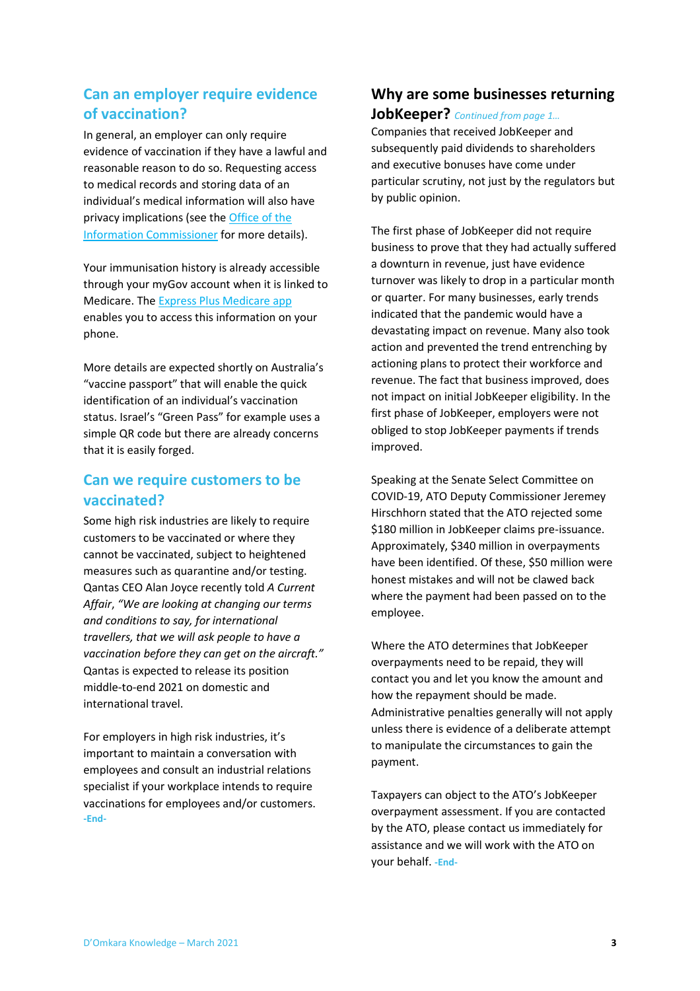## <span id="page-2-0"></span>**Can an employer require evidence of vaccination?**

In general, an employer can only require evidence of vaccination if they have a lawful and reasonable reason to do so. Requesting access to medical records and storing data of an individual's medical information will also have privacy implications (see th[e Office of the](https://www.oaic.gov.au/privacy/guidance-and-advice/coronavirus-covid-19-vaccinations-understanding-your-privacy-obligations-to-your-staff/)  [Information Commissioner](https://www.oaic.gov.au/privacy/guidance-and-advice/coronavirus-covid-19-vaccinations-understanding-your-privacy-obligations-to-your-staff/) for more details).

Your immunisation history is already accessible through your myGov account when it is linked to Medicare. Th[e Express Plus Medicare app](https://www.servicesaustralia.gov.au/individuals/services/medicare/express-plus-medicare-mobile-app) enables you to access this information on your phone.

More details are expected shortly on Australia's "vaccine passport" that will enable the quick identification of an individual's vaccination status. Israel's "Green Pass" for example uses a simple QR code but there are already concerns that it is easily forged.

## <span id="page-2-1"></span>**Can we require customers to be vaccinated?**

Some high risk industries are likely to require customers to be vaccinated or where they cannot be vaccinated, subject to heightened measures such as quarantine and/or testing. Qantas CEO Alan Joyce recently told *A Current Affair*, *"We are looking at changing our terms and conditions to say, for international travellers, that we will ask people to have a vaccination before they can get on the aircraft."* Qantas is expected to release its position middle-to-end 2021 on domestic and international travel.

For employers in high risk industries, it's important to maintain a conversation with employees and consult an industrial relations specialist if your workplace intends to require vaccinations for employees and/or customers. **-End-**

# **Why are some businesses returning**

### **JobKeeper?** *Continued from page 1…*

Companies that received JobKeeper and subsequently paid dividends to shareholders and executive bonuses have come under particular scrutiny, not just by the regulators but by public opinion.

The first phase of JobKeeper did not require business to prove that they had actually suffered a downturn in revenue, just have evidence turnover was likely to drop in a particular month or quarter. For many businesses, early trends indicated that the pandemic would have a devastating impact on revenue. Many also took action and prevented the trend entrenching by actioning plans to protect their workforce and revenue. The fact that business improved, does not impact on initial JobKeeper eligibility. In the first phase of JobKeeper, employers were not obliged to stop JobKeeper payments if trends improved.

Speaking at the Senate Select Committee on COVID-19, ATO Deputy Commissioner Jeremey Hirschhorn stated that the ATO rejected some \$180 million in JobKeeper claims pre-issuance. Approximately, \$340 million in overpayments have been identified. Of these, \$50 million were honest mistakes and will not be clawed back where the payment had been passed on to the employee.

Where the ATO determines that JobKeeper overpayments need to be repaid, they will contact you and let you know the amount and how the repayment should be made. Administrative penalties generally will not apply unless there is evidence of a deliberate attempt to manipulate the circumstances to gain the payment.

Taxpayers can object to the ATO's JobKeeper overpayment assessment. If you are contacted by the ATO, please contact us immediately for assistance and we will work with the ATO on your behalf. **-End-**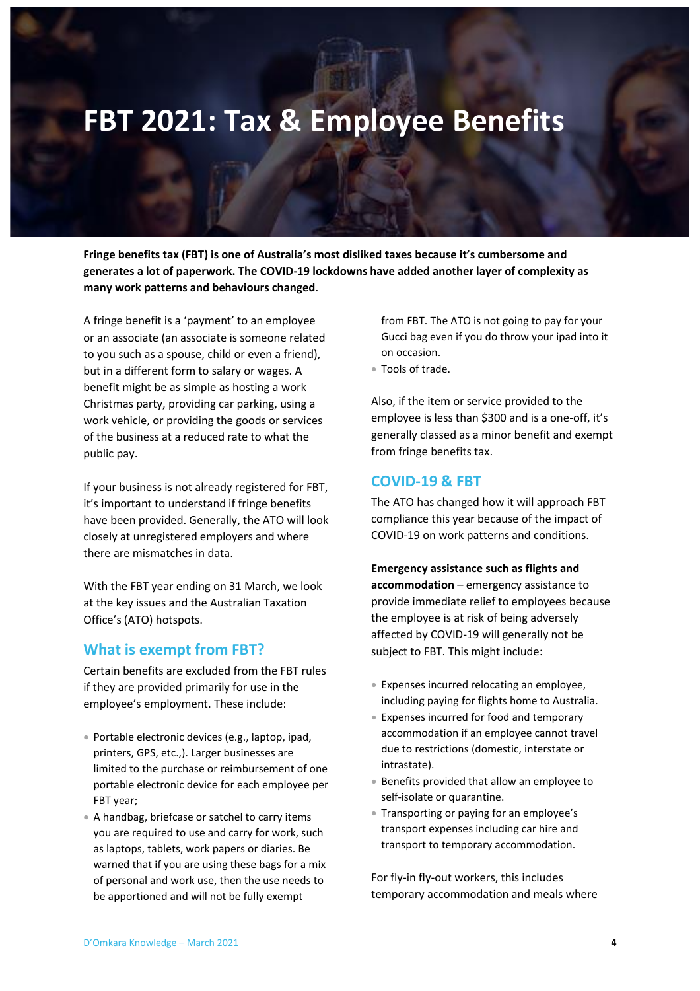# <span id="page-3-0"></span>**FBT 2021: Tax & Employee Benefits**

**Fringe benefits tax (FBT) is one of Australia's most disliked taxes because it's cumbersome and generates a lot of paperwork. The COVID-19 lockdowns have added another layer of complexity as many work patterns and behaviours changed**.

A fringe benefit is a 'payment' to an employee or an associate (an associate is someone related to you such as a spouse, child or even a friend), but in a different form to salary or wages. A benefit might be as simple as hosting a work Christmas party, providing car parking, using a work vehicle, or providing the goods or services of the business at a reduced rate to what the public pay.

If your business is not already registered for FBT, it's important to understand if fringe benefits have been provided. Generally, the ATO will look closely at unregistered employers and where there are mismatches in data.

With the FBT year ending on 31 March, we look at the key issues and the Australian Taxation Office's (ATO) hotspots.

### <span id="page-3-1"></span>**What is exempt from FBT?**

Certain benefits are excluded from the FBT rules if they are provided primarily for use in the employee's employment. These include:

- Portable electronic devices (e.g., laptop, ipad, printers, GPS, etc.,). Larger businesses are limited to the purchase or reimbursement of one portable electronic device for each employee per FBT year;
- A handbag, briefcase or satchel to carry items you are required to use and carry for work, such as laptops, tablets, work papers or diaries. Be warned that if you are using these bags for a mix of personal and work use, then the use needs to be apportioned and will not be fully exempt

from FBT. The ATO is not going to pay for your Gucci bag even if you do throw your ipad into it on occasion.

• Tools of trade.

Also, if the item or service provided to the employee is less than \$300 and is a one-off, it's generally classed as a minor benefit and exempt from fringe benefits tax.

### <span id="page-3-2"></span>**COVID-19 & FBT**

The ATO has changed how it will approach FBT compliance this year because of the impact of COVID-19 on work patterns and conditions.

**Emergency assistance such as flights and accommodation** – emergency assistance to provide immediate relief to employees because the employee is at risk of being adversely affected by COVID-19 will generally not be subject to FBT. This might include:

- Expenses incurred relocating an employee, including paying for flights home to Australia.
- Expenses incurred for food and temporary accommodation if an employee cannot travel due to restrictions (domestic, interstate or intrastate).
- Benefits provided that allow an employee to self-isolate or quarantine.
- Transporting or paying for an employee's transport expenses including car hire and transport to temporary accommodation.

For fly-in fly-out workers, this includes temporary accommodation and meals where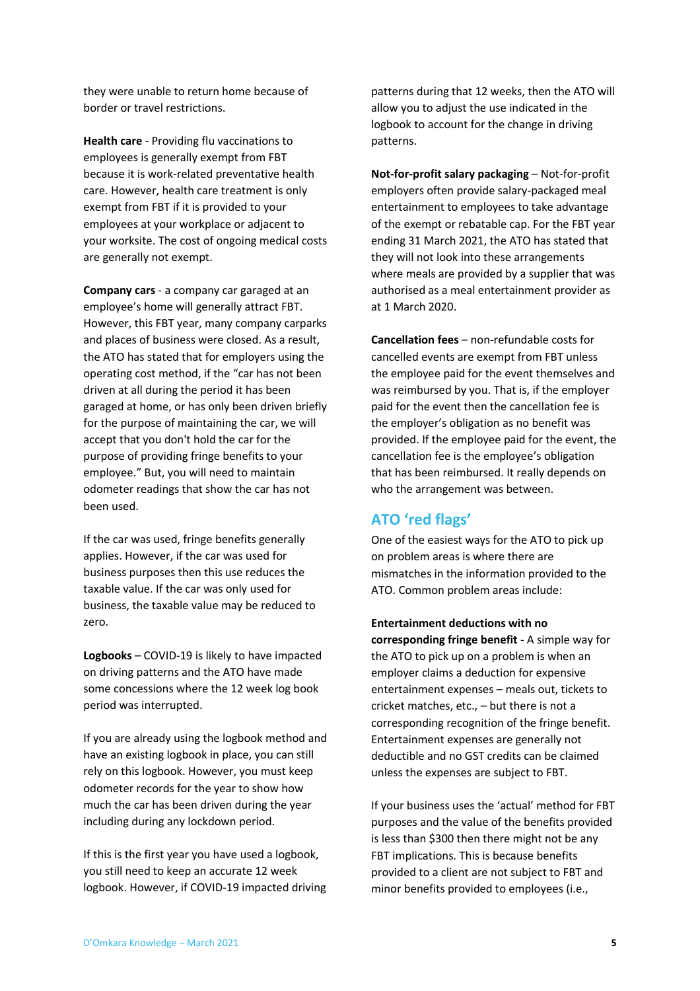they were unable to return home because of border or travel restrictions.

**Health care** - Providing flu vaccinations to employees is generally exempt from FBT because it is work-related preventative health care. However, health care treatment is only exempt from FBT if it is provided to your employees at your workplace or adjacent to your worksite. The cost of ongoing medical costs are generally not exempt.

**Company cars** - a company car garaged at an employee's home will generally attract FBT. However, this FBT year, many company carparks and places of business were closed. As a result, the ATO has stated that for employers using the operating cost method, if the "car has not been driven at all during the period it has been garaged at home, or has only been driven briefly for the purpose of maintaining the car, we will accept that you don't hold the car for the purpose of providing fringe benefits to your employee." But, you will need to maintain odometer readings that show the car has not been used.

If the car was used, fringe benefits generally applies. However, if the car was used for business purposes then this use reduces the taxable value. If the car was only used for business, the taxable value may be reduced to zero.

**Logbooks** – COVID-19 is likely to have impacted on driving patterns and the ATO have made some concessions where the 12 week log book period was interrupted.

If you are already using the logbook method and have an existing logbook in place, you can still rely on this logbook. However, you must keep odometer records for the year to show how much the car has been driven during the year including during any lockdown period.

If this is the first year you have used a logbook, you still need to keep an accurate 12 week logbook. However, if COVID-19 impacted driving patterns during that 12 weeks, then the ATO will allow you to adjust the use indicated in the logbook to account for the change in driving patterns.

**Not-for-profit salary packaging** – Not-for-profit employers often provide salary-packaged meal entertainment to employees to take advantage of the exempt or rebatable cap. For the FBT year ending 31 March 2021, the ATO has stated that they will not look into these arrangements where meals are provided by a supplier that was authorised as a meal entertainment provider as at 1 March 2020.

**Cancellation fees** – non-refundable costs for cancelled events are exempt from FBT unless the employee paid for the event themselves and was reimbursed by you. That is, if the employer paid for the event then the cancellation fee is the employer's obligation as no benefit was provided. If the employee paid for the event, the cancellation fee is the employee's obligation that has been reimbursed. It really depends on who the arrangement was between.

### <span id="page-4-0"></span>**ATO 'red flags'**

One of the easiest ways for the ATO to pick up on problem areas is where there are mismatches in the information provided to the ATO. Common problem areas include:

**Entertainment deductions with no corresponding fringe benefit** - A simple way for the ATO to pick up on a problem is when an employer claims a deduction for expensive entertainment expenses – meals out, tickets to cricket matches, etc., – but there is not a corresponding recognition of the fringe benefit. Entertainment expenses are generally not deductible and no GST credits can be claimed unless the expenses are subject to FBT.

If your business uses the 'actual' method for FBT purposes and the value of the benefits provided is less than \$300 then there might not be any FBT implications. This is because benefits provided to a client are not subject to FBT and minor benefits provided to employees (i.e.,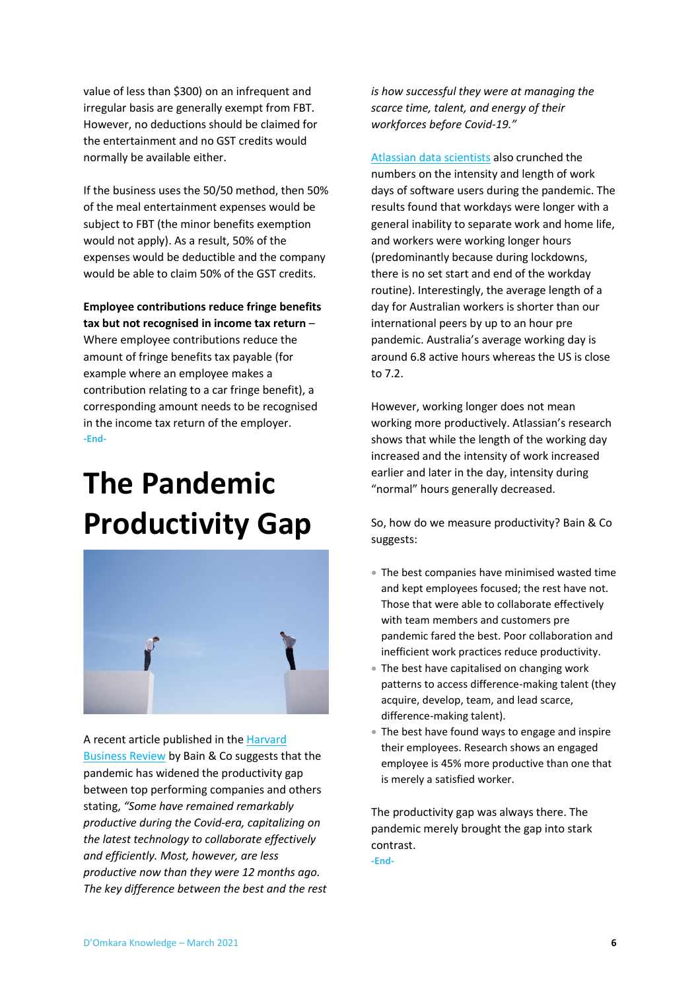value of less than \$300) on an infrequent and irregular basis are generally exempt from FBT. However, no deductions should be claimed for the entertainment and no GST credits would normally be available either.

If the business uses the 50/50 method, then 50% of the meal entertainment expenses would be subject to FBT (the minor benefits exemption would not apply). As a result, 50% of the expenses would be deductible and the company would be able to claim 50% of the GST credits.

**Employee contributions reduce fringe benefits tax but not recognised in income tax return** –

Where employee contributions reduce the amount of fringe benefits tax payable (for example where an employee makes a contribution relating to a car fringe benefit), a corresponding amount needs to be recognised in the income tax return of the employer. **-End-**

# <span id="page-5-0"></span>**The Pandemic Productivity Gap**



A recent article published in th[e Harvard](https://hbr.org/2020/12/the-pandemic-is-widening-a-corporate-productivity-gap)  [Business Review](https://hbr.org/2020/12/the-pandemic-is-widening-a-corporate-productivity-gap) by Bain & Co suggests that the pandemic has widened the productivity gap between top performing companies and others stating, *"Some have remained remarkably productive during the Covid-era, capitalizing on the latest technology to collaborate effectively and efficiently. Most, however, are less productive now than they were 12 months ago. The key difference between the best and the rest*  *is how successful they were at managing the scarce time, talent, and energy of their workforces before Covid-19."*

[Atlassian data scientists](https://www.atlassian.com/blog/teamwork/data-analysis-length-of-workday-covid) also crunched the numbers on the intensity and length of work days of software users during the pandemic. The results found that workdays were longer with a general inability to separate work and home life, and workers were working longer hours (predominantly because during lockdowns, there is no set start and end of the workday routine). Interestingly, the average length of a day for Australian workers is shorter than our international peers by up to an hour pre pandemic. Australia's average working day is around 6.8 active hours whereas the US is close to 7.2.

However, working longer does not mean working more productively. Atlassian's research shows that while the length of the working day increased and the intensity of work increased earlier and later in the day, intensity during "normal" hours generally decreased.

So, how do we measure productivity? Bain & Co suggests:

- The best companies have minimised wasted time and kept employees focused; the rest have not. Those that were able to collaborate effectively with team members and customers pre pandemic fared the best. Poor collaboration and inefficient work practices reduce productivity.
- The best have capitalised on changing work patterns to access difference-making talent (they acquire, develop, team, and lead scarce, difference-making talent).
- The best have found ways to engage and inspire their employees. Research shows an engaged employee is 45% more productive than one that is merely a satisfied worker.

The productivity gap was always there. The pandemic merely brought the gap into stark contrast.

**-End-**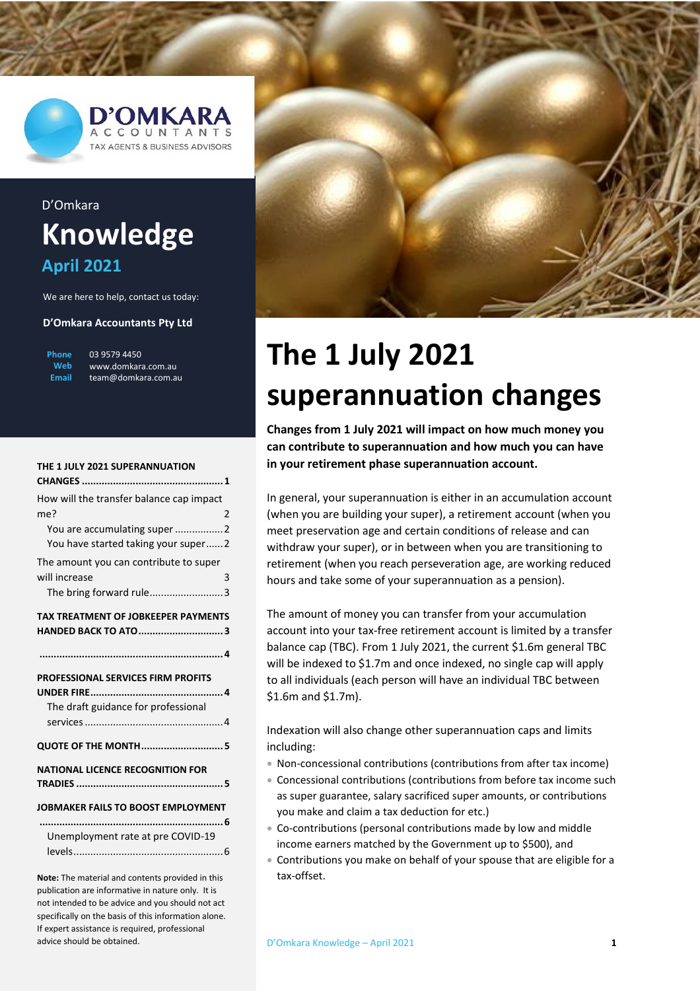

# D'Omkara **Knowledge April 2021**

We are here to help, contact us today:

#### **D'Omkara Accountants Pty Ltd**

| Phone | 03 9579 |
|-------|---------|
| Web   | www.dc  |
| Email | team@d  |

4450 www.domkara.com.au omkara.com.au

| THE 1 JULY 2021 SUPERANNUATION             |  |  |  |
|--------------------------------------------|--|--|--|
|                                            |  |  |  |
| How will the transfer balance cap impact   |  |  |  |
| me?<br>2                                   |  |  |  |
| You are accumulating super 2               |  |  |  |
| You have started taking your super2        |  |  |  |
| The amount you can contribute to super     |  |  |  |
| will increase<br>3                         |  |  |  |
| The bring forward rule3                    |  |  |  |
| <b>TAX TREATMENT OF JOBKEEPER PAYMENTS</b> |  |  |  |
| <b>HANDED BACK TO ATO3</b>                 |  |  |  |
|                                            |  |  |  |
|                                            |  |  |  |
|                                            |  |  |  |
| PROFESSIONAL SERVICES FIRM PROFITS         |  |  |  |
|                                            |  |  |  |
| The draft guidance for professional        |  |  |  |
|                                            |  |  |  |
| <b>QUOTE OF THE MONTH5</b>                 |  |  |  |
| <b>NATIONAL LICENCE RECOGNITION FOR</b>    |  |  |  |
|                                            |  |  |  |
| JOBMAKER FAILS TO BOOST EMPLOYMENT         |  |  |  |
|                                            |  |  |  |
| Unemployment rate at pre COVID-19          |  |  |  |
|                                            |  |  |  |

**Note:** The material and contents provided in this publication are informative in nature only. It is not intended to be advice and you should not act specifically on the basis of this information alone. If expert assistance is required, professional advice should be obtained.



# <span id="page-6-0"></span>**The 1 July 2021 superannuation changes**

**Changes from 1 July 2021 will impact on how much money you can contribute to superannuation and how much you can have in your retirement phase superannuation account.**

In general, your superannuation is either in an accumulation account (when you are building your super), a retirement account (when you meet preservation age and certain conditions of release and can withdraw your super), or in between when you are transitioning to retirement (when you reach perseveration age, are working reduced hours and take some of your superannuation as a pension).

The amount of money you can transfer from your accumulation account into your tax-free retirement account is limited by a transfer balance cap (TBC). From 1 July 2021, the current \$1.6m general TBC will be indexed to \$1.7m and once indexed, no single cap will apply to all individuals (each person will have an individual TBC between \$1.6m and \$1.7m).

Indexation will also change other superannuation caps and limits including:

- Non-concessional contributions (contributions from after tax income)
- Concessional contributions (contributions from before tax income such as super guarantee, salary sacrificed super amounts, or contributions you make and claim a tax deduction for etc.)
- Co-contributions (personal contributions made by low and middle income earners matched by the Government up to \$500), and
- Contributions you make on behalf of your spouse that are eligible for a tax-offset.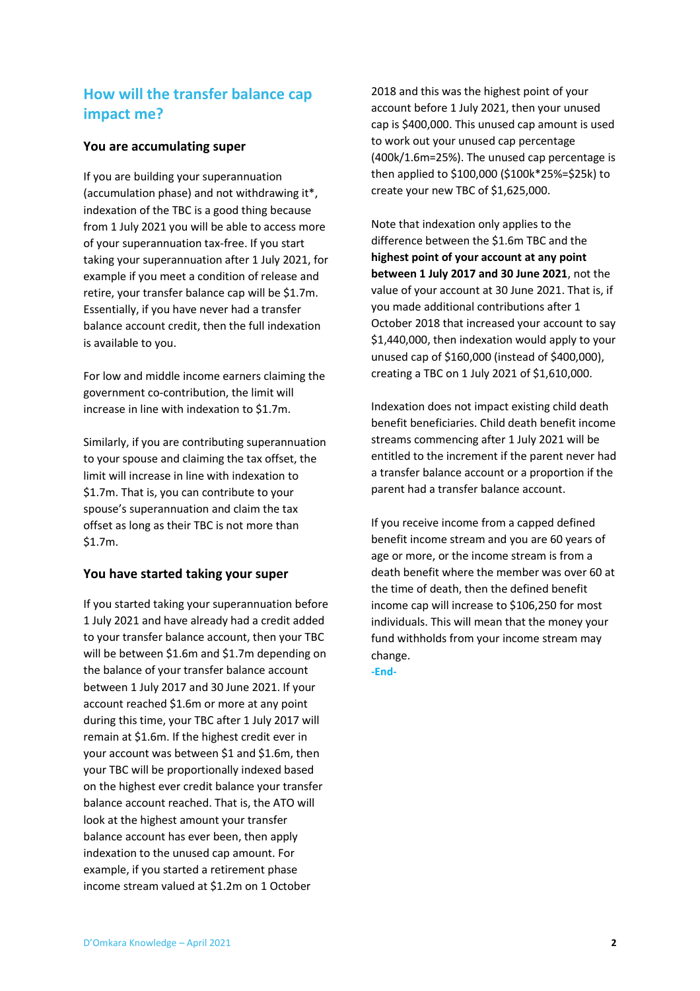## <span id="page-7-0"></span>**How will the transfer balance cap impact me?**

### <span id="page-7-1"></span>**You are accumulating super**

If you are building your superannuation (accumulation phase) and not withdrawing it\*, indexation of the TBC is a good thing because from 1 July 2021 you will be able to access more of your superannuation tax-free. If you start taking your superannuation after 1 July 2021, for example if you meet a condition of release and retire, your transfer balance cap will be \$1.7m. Essentially, if you have never had a transfer balance account credit, then the full indexation is available to you.

For low and middle income earners claiming the government co-contribution, the limit will increase in line with indexation to \$1.7m.

Similarly, if you are contributing superannuation to your spouse and claiming the tax offset, the limit will increase in line with indexation to \$1.7m. That is, you can contribute to your spouse's superannuation and claim the tax offset as long as their TBC is not more than \$1.7m.

### <span id="page-7-2"></span>**You have started taking your super**

If you started taking your superannuation before 1 July 2021 and have already had a credit added to your transfer balance account, then your TBC will be between \$1.6m and \$1.7m depending on the balance of your transfer balance account between 1 July 2017 and 30 June 2021. If your account reached \$1.6m or more at any point during this time, your TBC after 1 July 2017 will remain at \$1.6m. If the highest credit ever in your account was between \$1 and \$1.6m, then your TBC will be proportionally indexed based on the highest ever credit balance your transfer balance account reached. That is, the ATO will look at the highest amount your transfer balance account has ever been, then apply indexation to the unused cap amount. For example, if you started a retirement phase income stream valued at \$1.2m on 1 October

2018 and this was the highest point of your account before 1 July 2021, then your unused cap is \$400,000. This unused cap amount is used to work out your unused cap percentage (400k/1.6m=25%). The unused cap percentage is then applied to \$100,000 (\$100k\*25%=\$25k) to create your new TBC of \$1,625,000.

Note that indexation only applies to the difference between the \$1.6m TBC and the **highest point of your account at any point between 1 July 2017 and 30 June 2021**, not the value of your account at 30 June 2021. That is, if you made additional contributions after 1 October 2018 that increased your account to say \$1,440,000, then indexation would apply to your unused cap of \$160,000 (instead of \$400,000), creating a TBC on 1 July 2021 of \$1,610,000.

Indexation does not impact existing child death benefit beneficiaries. Child death benefit income streams commencing after 1 July 2021 will be entitled to the increment if the parent never had a transfer balance account or a proportion if the parent had a transfer balance account.

If you receive income from a capped defined benefit income stream and you are 60 years of age or more, or the income stream is from a death benefit where the member was over 60 at the time of death, then the defined benefit income cap will increase to \$106,250 for most individuals. This will mean that the money your fund withholds from your income stream may change.

**-End-**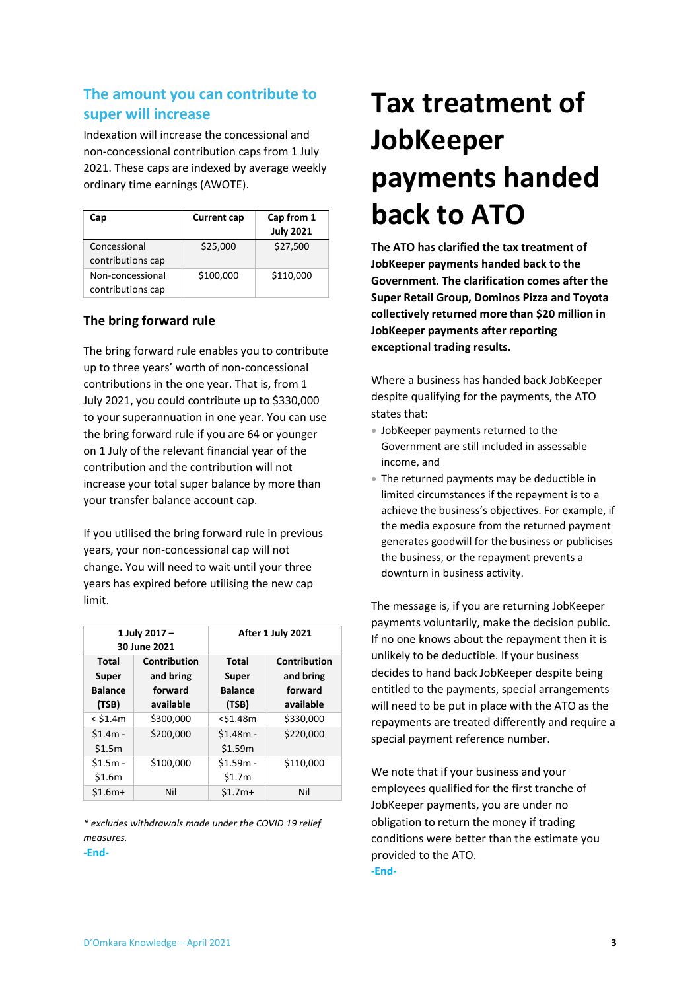# <span id="page-8-0"></span>**The amount you can contribute to super will increase**

Indexation will increase the concessional and non-concessional contribution caps from 1 July 2021. These caps are indexed by average weekly ordinary time earnings (AWOTE).

| Cap                                   | <b>Current cap</b> | Cap from 1<br><b>July 2021</b> |
|---------------------------------------|--------------------|--------------------------------|
| Concessional<br>contributions cap     | \$25,000           | \$27,500                       |
| Non-concessional<br>contributions cap | \$100,000          | \$110,000                      |

### <span id="page-8-1"></span>**The bring forward rule**

The bring forward rule enables you to contribute up to three years' worth of non-concessional contributions in the one year. That is, from 1 July 2021, you could contribute up to \$330,000 to your superannuation in one year. You can use the bring forward rule if you are 64 or younger on 1 July of the relevant financial year of the contribution and the contribution will not increase your total super balance by more than your transfer balance account cap.

If you utilised the bring forward rule in previous years, your non-concessional cap will not change. You will need to wait until your three years has expired before utilising the new cap limit.

| 1 July 2017 -  |              | After 1 July 2021 |                     |
|----------------|--------------|-------------------|---------------------|
|                | 30 June 2021 |                   |                     |
| Total          | Contribution | <b>Total</b>      | <b>Contribution</b> |
| Super          | and bring    | Super             | and bring           |
| <b>Balance</b> | forward      | <b>Balance</b>    | forward             |
| (TSB)          | available    | (TSB)             | available           |
| $<$ \$1.4m     | \$300,000    | $<$ \$1.48m       | \$330,000           |
| $$1.4m -$      | \$200,000    | $$1.48m -$        | \$220,000           |
| \$1.5m         |              | \$1.59m           |                     |
| $$1.5m -$      | \$100,000    | $$1.59m -$        | \$110,000           |
| \$1.6m         |              | \$1.7m            |                     |
| $$1.6m+$       | Nil          | $$1.7m+$          | Nil                 |

*\* excludes withdrawals made under the COVID 19 relief measures.* 

**-End-**

# <span id="page-8-2"></span>**Tax treatment of JobKeeper payments handed back to ATO**

**The ATO has clarified the tax treatment of JobKeeper payments handed back to the Government. The clarification comes after the Super Retail Group, Dominos Pizza and Toyota collectively returned more than \$20 million in JobKeeper payments after reporting exceptional trading results.**

Where a business has handed back JobKeeper despite qualifying for the payments, the ATO states that:

- JobKeeper payments returned to the Government are still included in assessable income, and
- The returned payments may be deductible in limited circumstances if the repayment is to a achieve the business's objectives. For example, if the media exposure from the returned payment generates goodwill for the business or publicises the business, or the repayment prevents a downturn in business activity.

The message is, if you are returning JobKeeper payments voluntarily, make the decision public. If no one knows about the repayment then it is unlikely to be deductible. If your business decides to hand back JobKeeper despite being entitled to the payments, special arrangements will need to be put in place with the ATO as the repayments are treated differently and require a special payment reference number.

We note that if your business and your employees qualified for the first tranche of JobKeeper payments, you are under no obligation to return the money if trading conditions were better than the estimate you provided to the ATO.

**-End-**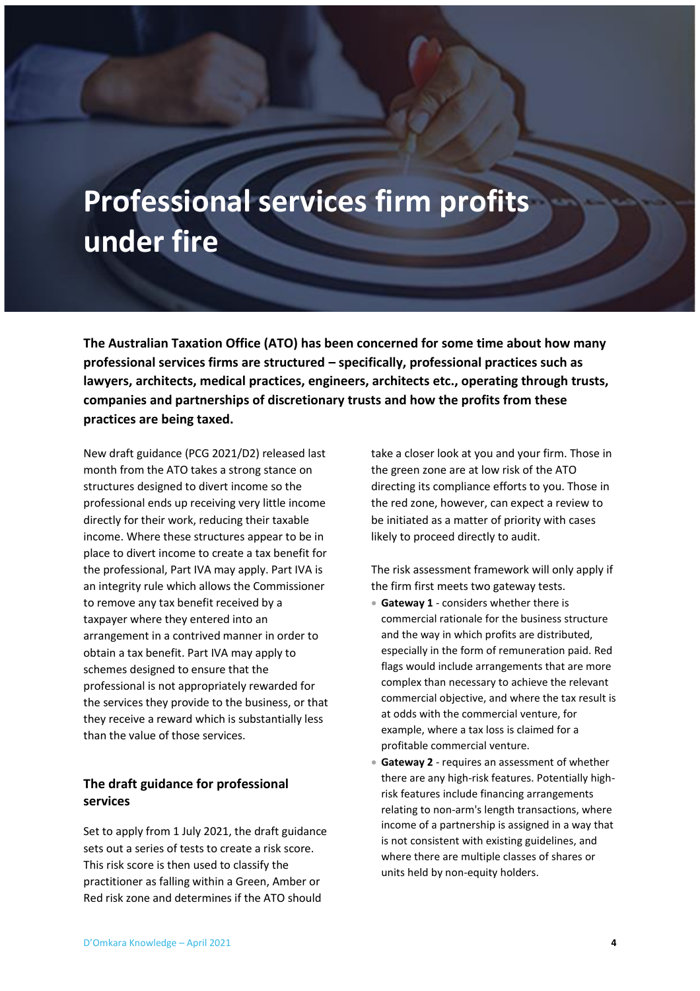# <span id="page-9-1"></span><span id="page-9-0"></span>**Professional services firm profits under fire**

**The Australian Taxation Office (ATO) has been concerned for some time about how many professional services firms are structured – specifically, professional practices such as lawyers, architects, medical practices, engineers, architects etc., operating through trusts, companies and partnerships of discretionary trusts and how the profits from these practices are being taxed.**

New draft guidance (PCG 2021/D2) released last month from the ATO takes a strong stance on structures designed to divert income so the professional ends up receiving very little income directly for their work, reducing their taxable income. Where these structures appear to be in place to divert income to create a tax benefit for the professional, Part IVA may apply. Part IVA is an integrity rule which allows the Commissioner to remove any tax benefit received by a taxpayer where they entered into an arrangement in a contrived manner in order to obtain a tax benefit. Part IVA may apply to schemes designed to ensure that the professional is not appropriately rewarded for the services they provide to the business, or that they receive a reward which is substantially less than the value of those services.

### <span id="page-9-2"></span>**The draft guidance for professional services**

Set to apply from 1 July 2021, the draft guidance sets out a series of tests to create a risk score. This risk score is then used to classify the practitioner as falling within a Green, Amber or Red risk zone and determines if the ATO should

take a closer look at you and your firm. Those in the green zone are at low risk of the ATO directing its compliance efforts to you. Those in the red zone, however, can expect a review to be initiated as a matter of priority with cases likely to proceed directly to audit.

The risk assessment framework will only apply if the firm first meets two gateway tests.

- **Gateway 1** considers whether there is commercial rationale for the business structure and the way in which profits are distributed, especially in the form of remuneration paid. Red flags would include arrangements that are more complex than necessary to achieve the relevant commercial objective, and where the tax result is at odds with the commercial venture, for example, where a tax loss is claimed for a profitable commercial venture.
- **Gateway 2** requires an assessment of whether there are any high-risk features. Potentially highrisk features include financing arrangements relating to non-arm's length transactions, where income of a partnership is assigned in a way that is not consistent with existing guidelines, and where there are multiple classes of shares or units held by non-equity holders.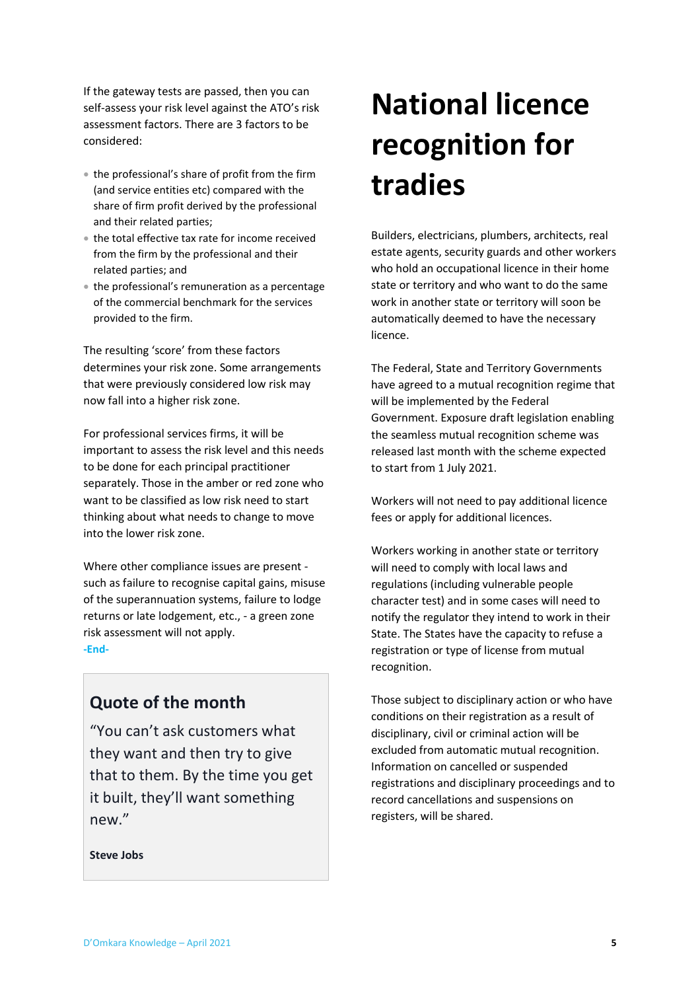If the gateway tests are passed, then you can self-assess your risk level against the ATO's risk assessment factors. There are 3 factors to be considered:

- the professional's share of profit from the firm (and service entities etc) compared with the share of firm profit derived by the professional and their related parties;
- the total effective tax rate for income received from the firm by the professional and their related parties; and
- the professional's remuneration as a percentage of the commercial benchmark for the services provided to the firm.

The resulting 'score' from these factors determines your risk zone. Some arrangements that were previously considered low risk may now fall into a higher risk zone.

For professional services firms, it will be important to assess the risk level and this needs to be done for each principal practitioner separately. Those in the amber or red zone who want to be classified as low risk need to start thinking about what needs to change to move into the lower risk zone.

Where other compliance issues are present such as failure to recognise capital gains, misuse of the superannuation systems, failure to lodge returns or late lodgement, etc., - a green zone risk assessment will not apply. **-End-**

# <span id="page-10-0"></span>**Quote of the month**

"You can't ask customers what they want and then try to give that to them. By the time you get it built, they'll want something new."

**Steve Jobs**

# <span id="page-10-1"></span>**National licence recognition for tradies**

Builders, electricians, plumbers, architects, real estate agents, security guards and other workers who hold an occupational licence in their home state or territory and who want to do the same work in another state or territory will soon be automatically deemed to have the necessary licence.

The Federal, State and Territory Governments have agreed to a mutual recognition regime that will be implemented by the Federal Government. Exposure draft legislation enabling the seamless mutual recognition scheme was released last month with the scheme expected to start from 1 July 2021.

Workers will not need to pay additional licence fees or apply for additional licences.

Workers working in another state or territory will need to comply with local laws and regulations (including vulnerable people character test) and in some cases will need to notify the regulator they intend to work in their State. The States have the capacity to refuse a registration or type of license from mutual recognition.

Those subject to disciplinary action or who have conditions on their registration as a result of disciplinary, civil or criminal action will be excluded from automatic mutual recognition. Information on cancelled or suspended registrations and disciplinary proceedings and to record cancellations and suspensions on registers, will be shared.